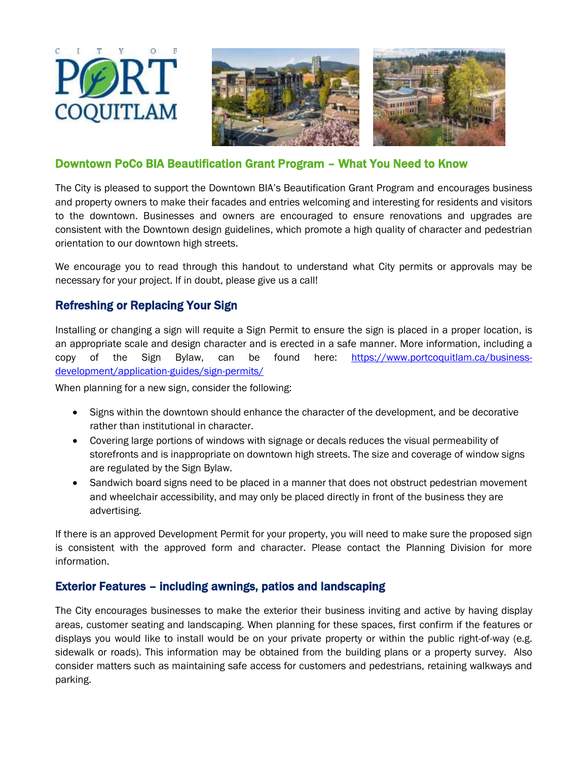





## Downtown PoCo BIA Beautification Grant Program – What You Need to Know

The City is pleased to support the Downtown BIA's Beautification Grant Program and encourages business and property owners to make their facades and entries welcoming and interesting for residents and visitors to the downtown. Businesses and owners are encouraged to ensure renovations and upgrades are consistent with the Downtown design guidelines, which promote a high quality of character and pedestrian orientation to our downtown high streets.

We encourage you to read through this handout to understand what City permits or approvals may be necessary for your project. If in doubt, please give us a call!

## Refreshing or Replacing Your Sign

Installing or changing a sign will requite a Sign Permit to ensure the sign is placed in a proper location, is an appropriate scale and design character and is erected in a safe manner. More information, including a copy of the Sign Bylaw, can be found here: [https://www.portcoquitlam.ca/business](https://www.portcoquitlam.ca/business-development/application-guides/sign-permits/)[development/application-guides/sign-permits/](https://www.portcoquitlam.ca/business-development/application-guides/sign-permits/)

When planning for a new sign, consider the following:

- Signs within the downtown should enhance the character of the development, and be decorative rather than institutional in character.
- Covering large portions of windows with signage or decals reduces the visual permeability of storefronts and is inappropriate on downtown high streets. The size and coverage of window signs are regulated by the Sign Bylaw.
- Sandwich board signs need to be placed in a manner that does not obstruct pedestrian movement and wheelchair accessibility, and may only be placed directly in front of the business they are advertising.

If there is an approved Development Permit for your property, you will need to make sure the proposed sign is consistent with the approved form and character. Please contact the Planning Division for more information.

### Exterior Features – including awnings, patios and landscaping

The City encourages businesses to make the exterior their business inviting and active by having display areas, customer seating and landscaping. When planning for these spaces, first confirm if the features or displays you would like to install would be on your private property or within the public right-of-way (e.g. sidewalk or roads). This information may be obtained from the building plans or a property survey. Also consider matters such as maintaining safe access for customers and pedestrians, retaining walkways and parking.